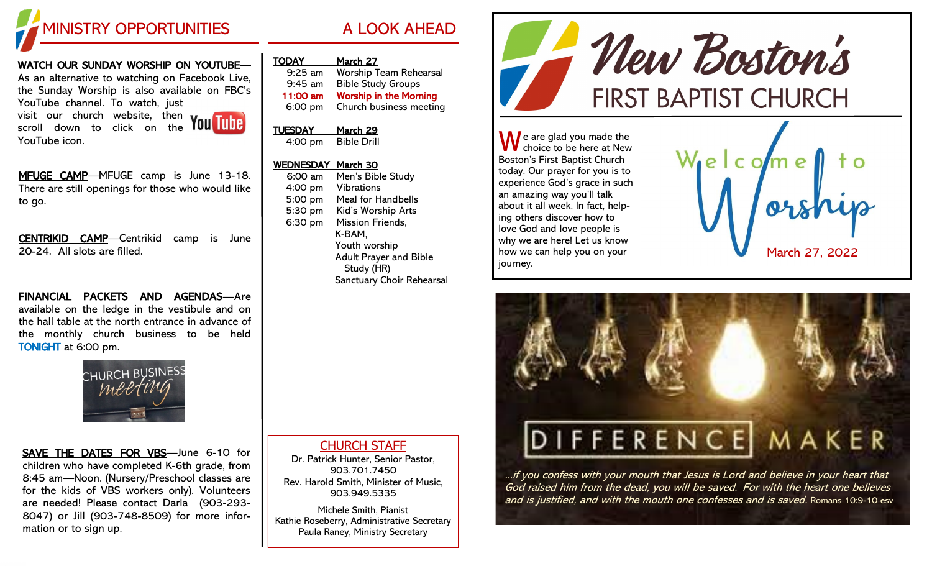

# WATCH OUR SUNDAY WORSHIP ON YOUTUBE—

As an alternative to watching on Facebook Live, the Sunday Worship is also available on FBC's YouTube channel. To watch, just visit our church website, then scroll down to click on the

YouTube icon.

MFUGE CAMP-MFUGE camp is June 13-18. There are still openings for those who would like to go.

CENTRIKID CAMP—Centrikid camp is June 20-24. All slots are filled.

FINANCIAL PACKETS AND AGENDAS—Are available on the ledge in the vestibule and on the hall table at the north entrance in advance of the monthly church business to be held TONIGHT at 6:00 pm.



SAVE THE DATES FOR VBS—June 6-10 for children who have completed K-6th grade, from 8:45 am—Noon. (Nursery/Preschool classes are for the kids of VBS workers only). Volunteers are needed! Please contact Darla (903-293- 8047) or Jill (903-748-8509) for more information or to sign up.

| March 27                      |
|-------------------------------|
| Worship Team Rehearsal        |
| <b>Bible Study Groups</b>     |
| <b>Worship in the Morning</b> |
| Church business meeting       |
|                               |

#### TUESDAY March 29 4:00 pm Bible Drill

#### WEDNESDAY March 30

6:00 am Men's Bible Study 4:00 pm Vibrations 5:00 pm Meal for Handbells 5:30 pm Kid's Worship Arts 6:30 pm Mission Friends, K-BAM, Youth worship Adult Prayer and Bible Study (HR) Sanctuary Choir Rehearsal - New Boston's **FIRST BAPTIST CHURCH** 

 $\bigwedge$  e are glad you made the choice to be here at New Boston's First Baptist Church today. Our prayer for you is to experience God's grace in such an amazing way you'll talk about it all week. In fact, helping others discover how to love God and love people is why we are here! Let us know how we can help you on your journey.





...if you confess with your mouth that Jesus is Lord and believe in your heart that God raised him from the dead, you will be saved. For with the heart one believes and is justified, and with the mouth one confesses and is saved. Romans 10:9-10 esv

### CHURCH STAFF

Dr. Patrick Hunter, Senior Pastor, 903.701.7450 Rev. Harold Smith, Minister of Music, 903.949.5335

Michele Smith, Pianist Kathie Roseberry, Administrative Secretary Paula Raney, Ministry Secretary